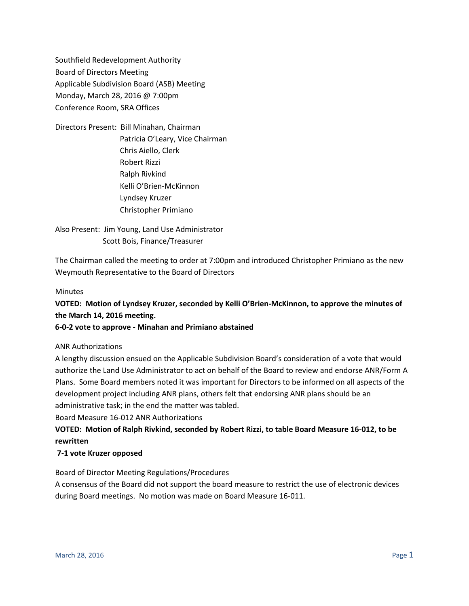Southfield Redevelopment Authority Board of Directors Meeting Applicable Subdivision Board (ASB) Meeting Monday, March 28, 2016 @ 7:00pm Conference Room, SRA Offices

Directors Present: Bill Minahan, Chairman Patricia O'Leary, Vice Chairman Chris Aiello, Clerk Robert Rizzi Ralph Rivkind Kelli O'Brien-McKinnon Lyndsey Kruzer Christopher Primiano

Also Present: Jim Young, Land Use Administrator Scott Bois, Finance/Treasurer

The Chairman called the meeting to order at 7:00pm and introduced Christopher Primiano as the new Weymouth Representative to the Board of Directors

## **Minutes**

**VOTED: Motion of Lyndsey Kruzer, seconded by Kelli O'Brien-McKinnon, to approve the minutes of the March 14, 2016 meeting.**

## **6-0-2 vote to approve - Minahan and Primiano abstained**

## ANR Authorizations

A lengthy discussion ensued on the Applicable Subdivision Board's consideration of a vote that would authorize the Land Use Administrator to act on behalf of the Board to review and endorse ANR/Form A Plans. Some Board members noted it was important for Directors to be informed on all aspects of the development project including ANR plans, others felt that endorsing ANR plans should be an administrative task; in the end the matter was tabled.

Board Measure 16-012 ANR Authorizations

# **VOTED: Motion of Ralph Rivkind, seconded by Robert Rizzi, to table Board Measure 16-012, to be rewritten**

## **7-1 vote Kruzer opposed**

Board of Director Meeting Regulations/Procedures

A consensus of the Board did not support the board measure to restrict the use of electronic devices during Board meetings. No motion was made on Board Measure 16-011.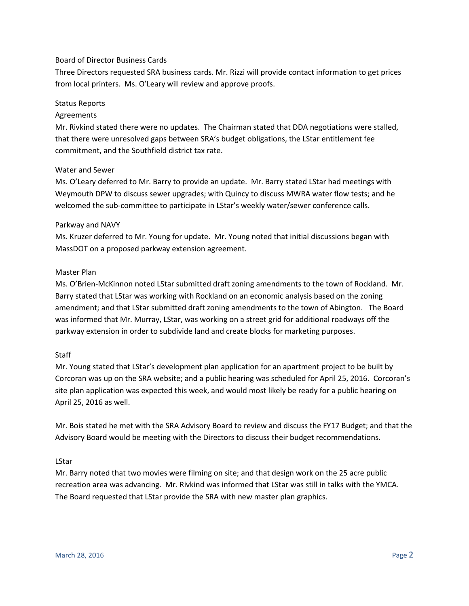## Board of Director Business Cards

Three Directors requested SRA business cards. Mr. Rizzi will provide contact information to get prices from local printers. Ms. O'Leary will review and approve proofs.

#### Status Reports

## Agreements

Mr. Rivkind stated there were no updates. The Chairman stated that DDA negotiations were stalled, that there were unresolved gaps between SRA's budget obligations, the LStar entitlement fee commitment, and the Southfield district tax rate.

## Water and Sewer

Ms. O'Leary deferred to Mr. Barry to provide an update. Mr. Barry stated LStar had meetings with Weymouth DPW to discuss sewer upgrades; with Quincy to discuss MWRA water flow tests; and he welcomed the sub-committee to participate in LStar's weekly water/sewer conference calls.

#### Parkway and NAVY

Ms. Kruzer deferred to Mr. Young for update. Mr. Young noted that initial discussions began with MassDOT on a proposed parkway extension agreement.

#### Master Plan

Ms. O'Brien-McKinnon noted LStar submitted draft zoning amendments to the town of Rockland. Mr. Barry stated that LStar was working with Rockland on an economic analysis based on the zoning amendment; and that LStar submitted draft zoning amendments to the town of Abington. The Board was informed that Mr. Murray, LStar, was working on a street grid for additional roadways off the parkway extension in order to subdivide land and create blocks for marketing purposes.

## **Staff**

Mr. Young stated that LStar's development plan application for an apartment project to be built by Corcoran was up on the SRA website; and a public hearing was scheduled for April 25, 2016. Corcoran's site plan application was expected this week, and would most likely be ready for a public hearing on April 25, 2016 as well.

Mr. Bois stated he met with the SRA Advisory Board to review and discuss the FY17 Budget; and that the Advisory Board would be meeting with the Directors to discuss their budget recommendations.

## LStar

Mr. Barry noted that two movies were filming on site; and that design work on the 25 acre public recreation area was advancing. Mr. Rivkind was informed that LStar was still in talks with the YMCA. The Board requested that LStar provide the SRA with new master plan graphics.